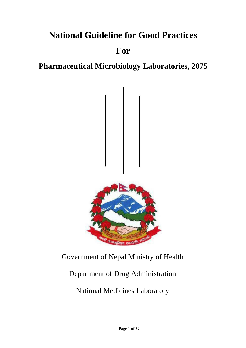# **National Guideline for Good Practices**

## **For**

## **Pharmaceutical Microbiology Laboratories, 2075**



## Government of Nepal Ministry of Health

## Department of Drug Administration

## National Medicines Laboratory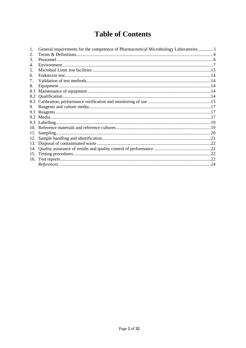## **Table of Contents**

|     | General requirements for the competence of Pharmaceutical Microbiology Laboratories3 |  |
|-----|--------------------------------------------------------------------------------------|--|
| 2.  |                                                                                      |  |
| 3.  |                                                                                      |  |
| 4.  |                                                                                      |  |
| 5.  |                                                                                      |  |
| 6.  |                                                                                      |  |
| 7.  |                                                                                      |  |
| 8.  |                                                                                      |  |
| 8.1 |                                                                                      |  |
| 8.2 |                                                                                      |  |
| 8.3 |                                                                                      |  |
| 9.  |                                                                                      |  |
| 9.1 |                                                                                      |  |
| 9.2 |                                                                                      |  |
| 9.3 |                                                                                      |  |
|     |                                                                                      |  |
| 11. | Sampling.                                                                            |  |
| 12. |                                                                                      |  |
| 13. |                                                                                      |  |
|     |                                                                                      |  |
| 15. |                                                                                      |  |
|     |                                                                                      |  |
|     |                                                                                      |  |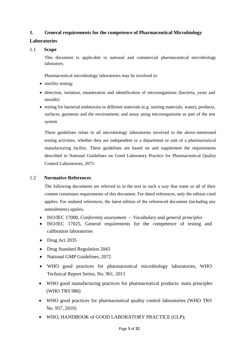## <span id="page-2-0"></span>**1. General requirements for the competence of Pharmaceutical Microbiology**

## **Laboratories**

## 1.1 **Scope**

This document is applicable to national and commercial pharmaceutical microbiology laboratory.

Pharmaceutical microbiology laboratories may be involved in:

- sterility testing;
- detection, isolation, enumeration and identification of microorganisms (bacteria, yeast and moulds)
- testing for bacterial endotoxins in different materials (e.g. starting materials, water), products, surfaces, garments and the environment; and assay using microorganisms as part of the test system

These guidelines relate to all microbiology laboratories involved in the above-mentioned testing activities, whether they are independent or a department or unit of a pharmaceutical manufacturing facility. These guidelines are based on and supplement the requirements described in National Guidelines on Good Laboratory Practice for Pharmaceutical Quality Control Laboratories, 2075.

## 1.2 **Normative References**

The following documents are referred to in the text in such a way that some or all of their content constitutes requirements of this document. For dated references, only the edition cited applies. For undated references, the latest edition of the referenced document (including any amendments) applies.

- ISO/IEC 17000, *Conformity assessment — Vocabulary and general principles*
- ISO/IEC 17025, General requirements for the competence of testing and calibration laboratories
- Drug Act 2035
- Drug Standard Regulation 2043
- National GMP Guidelines, 2072
- WHO good practices for pharmaceutical microbiology laboratories, WHO Technical Report Series, No. 961, 2011
- WHO good manufacturing practices for pharmaceutical products: main principles (WHO TRS 986)
- WHO good practices for pharmaceutical quality control laboratories (WHO TRS No. 957, 2010)
- WHO, HANDBOOK of GOOD LABORATORY PRACTICE (GLP);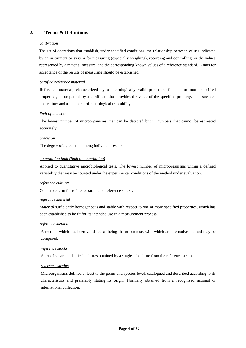## <span id="page-3-0"></span>**2. Terms & Definitions**

#### *calibration*

The set of operations that establish, under specified conditions, the relationship between values indicated by an instrument or system for measuring (especially weighing), recording and controlling, or the values represented by a material measure, and the corresponding known values of a reference standard. Limits for acceptance of the results of measuring should be established.

#### *certified reference material*

Reference material, characterized by a metrologically valid procedure for one or more specified properties, accompanied by a certificate that provides the value of the specified property, its associated uncertainty and a statement of metrological traceability.

#### *limit of detection*

The lowest number of microorganisms that can be detected but in numbers that cannot be estimated accurately.

#### *precision*

The degree of agreement among individual results.

#### *quantitation limit (limit of quantitation)*

Applied to quantitative microbiological tests. The lowest number of microorganisms within a defined variability that may be counted under the experimental conditions of the method under evaluation.

#### *reference cultures*

Collective term for reference strain and reference stocks.

#### *reference material*

*Material* sufficiently homogeneous and stable with respect to one or more specified properties, which has been established to be fit for its intended use in a measurement process.

#### *reference method*

A method which has been validated as being fit for purpose, with which an alternative method may be compared.

#### *reference stocks*

A set of separate identical cultures obtained by a single subculture from the reference strain.

#### *reference strains*

Microorganisms defined at least to the genus and species level, catalogued and described according to its characteristics and preferably stating its origin. Normally obtained from a recognized national or international collection.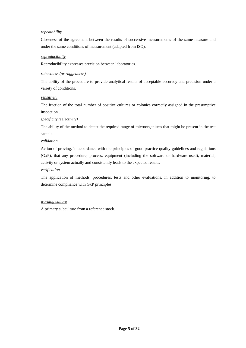#### *repeatability*

Closeness of the agreement between the results of successive measurements of the same measure and under the same conditions of measurement (adapted from ISO).

#### *reproducibility*

Reproducibility expresses precision between laboratories.

#### *robustness (or ruggedness)*

The ability of the procedure to provide analytical results of acceptable accuracy and precision under a variety of conditions.

#### *sensitivity*

The fraction of the total number of positive cultures or colonies correctly assigned in the presumptive inspection .

#### *specificity (selectivity)*

The ability of the method to detect the required range of microorganisms that might be present in the test sample.

#### *validation*

Action of proving, in accordance with the principles of good practice quality guidelines and regulations (GxP), that any procedure, process, equipment (including the software or hardware used), material, activity or system actually and consistently leads to the expected results.

#### *verification*

The application of methods, procedures, tests and other evaluations, in addition to monitoring, to determine compliance with GxP principles.

#### *working culture*

A primary subculture from a reference stock.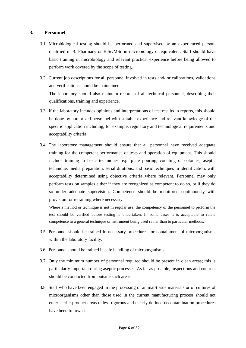## <span id="page-5-0"></span>**3. Personnel**

- 3.1 Microbiological testing should be performed and supervised by an experienced person, qualified in B. Pharmacy or B.Sc/MSc in microbiology or equivalent. Staff should have basic training in microbiology and relevant practical experience before being allowed to perform work covered by the scope of testing.
- 3.2 Current job descriptions for all personnel involved in tests and/ or calibrations, validations and verifications should be maintained. The laboratory should also maintain records of all technical personnel, describing their qualifications, training and experience.
- 3.3 If the laboratory includes opinions and interpretations of test results in reports, this should be done by authorized personnel with suitable experience and relevant knowledge of the specific application including, for example, regulatory and technological requirements and acceptability criteria.
- 3.4 The laboratory management should ensure that all personnel have received adequate training for the competent performance of tests and operation of equipment. This should include training in basic techniques, e.g. plate pouring, counting of colonies, aseptic technique, media preparation, serial dilutions, and basic techniques in identification, with acceptability determined using objective criteria where relevant. Personnel may only perform tests on samples either if they are recognized as competent to do so, or if they do so under adequate supervision. Competence should be monitored continuously with provision for retraining where necessary.

<span id="page-5-1"></span>Where a method or technique is not in regular use, the competency of the personnel to perform the test should be verified before testing is undertaken. In some cases it is acceptable to relate competence to a general technique or instrument being used rather than to particular methods.

- 3.5 Personnel should be trained in necessary procedures for containment of microorganisms within the laboratory facility.
- 3.6 Personnel should be trained in safe handling of microorganisms.
- 3.7 Only the minimum number of personnel required should be present in clean areas; this is particularly important during aseptic processes. As far as possible, inspections and controls should be conducted from outside such areas.
- 3.8 Staff who have been engaged in the processing of animal-tissue materials or of cultures of microorganisms other than those used in the current manufacturing process should not enter sterile-product areas unless rigorous and clearly defined decontamination procedures have been followed.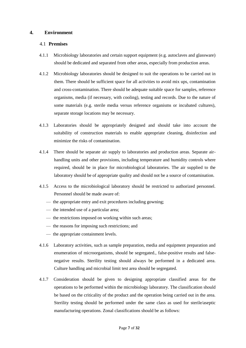## **4. Environment**

## 4.1 **Premises**

- 4.1.1 Microbiology laboratories and certain support equipment (e.g. autoclaves and glassware) should be dedicated and separated from other areas, especially from production areas.
- 4.1.2 Microbiology laboratories should be designed to suit the operations to be carried out in them. There should be sufficient space for all activities to avoid mix ups, contamination and cross-contamination. There should be adequate suitable space for samples, reference organisms, media (if necessary, with cooling), testing and records. Due to the nature of some materials (e.g. sterile media versus reference organisms or incubated cultures), separate storage locations may be necessary.
- 4.1.3 Laboratories should be appropriately designed and should take into account the suitability of construction materials to enable appropriate cleaning, disinfection and minimize the risks of contamination.
- 4.1.4 There should be separate air supply to laboratories and production areas. Separate airhandling units and other provisions, including temperature and humidity controls where required, should be in place for microbiological laboratories. The air supplied to the laboratory should be of appropriate quality and should not be a source of contamination.
- 4.1.5 Access to the microbiological laboratory should be restricted to authorized personnel. Personnel should be made aware of:
	- the appropriate entry and exit procedures including gowning;
	- the intended use of a particular area;
	- the restrictions imposed on working within such areas;
	- the reasons for imposing such restrictions; and
	- the appropriate containment levels.
- 4.1.6 Laboratory activities, such as sample preparation, media and equipment preparation and enumeration of microorganisms, should be segregated., false-positive results and falsenegative results. Sterility testing should always be performed in a dedicated area. Culture handling and microbial limit test area should be segregated.
- 4.1.7 Consideration should be given to designing appropriate classified areas for the operations to be performed within the microbiology laboratory. The classification should be based on the criticality of the product and the operation being carried out in the area. Sterility testing should be performed under the same class as used for sterile/aseptic manufacturing operations. Zonal classifications should be as follows: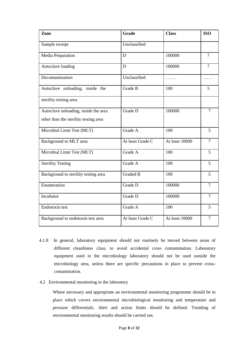| Zone                                  | <b>Grade</b>     | <b>Class</b>   | <b>ISO</b>     |
|---------------------------------------|------------------|----------------|----------------|
| Sample receipt                        | Unclassified     |                |                |
| Media Preparation                     | D                | 100000         | $\tau$         |
| Autoclave loading                     | D                | 100000         | $\overline{7}$ |
| Decontamination                       | Unclassified     | .              | .              |
| Autoclave unloading, inside the       | Grade B          | 100            | 5              |
| sterility testing area                |                  |                |                |
| Autoclave unloading, inside the area  | Grade D          | 100000         | $\overline{7}$ |
| other than the sterility testing area |                  |                |                |
| Microbial Limit Test (MLT)            | Grade A          | 100            | 5              |
| Background to MLT area                | At least Grade C | At least 10000 | $\overline{7}$ |
| Microbial Limit Test (MLT)            | Grade A          | 100            | 5              |
| <b>Sterility Testing</b>              | Grade A          | 100            | 5              |
| Background to sterility testing area  | <b>Graded B</b>  | 100            | 5              |
| Enumeration                           | Grade D          | 100000         | $\overline{7}$ |
| Incubator                             | Grade D          | 100000         | $\overline{7}$ |
| Endotoxin test                        | Grade A          | 100            | 5              |
| Background to endotoxin test area     | At least Grade C | At least 10000 | $\overline{7}$ |

- 4.1.8 In general, laboratory equipment should not routinely be moved between areas of different cleanliness class, to avoid accidental cross contamination. Laboratory equipment used in the microbiology laboratory should not be used outside the microbiology area, unless there are specific precautions in place to prevent crosscontamination.
- 4.2 Environmental monitoring in the laboratory

Where necessary and appropriate an environmental monitoring programme should be in place which covers environmental microbiological monitoring and temperature and pressure differentials. Alert and action limits should be defined. Trending of environmental monitoring results should be carried out.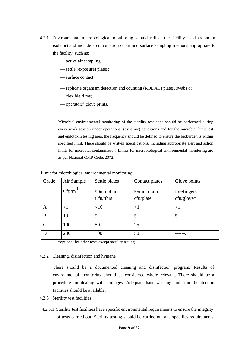- 4.2.1 Environmental microbiological monitoring should reflect the facility used (room or isolator) and include a combination of air and surface sampling methods appropriate to the facility, such as:
	- active air sampling;
	- settle (exposure) plates;
	- surface contact
	- replicate organism detection and counting (RODAC) plates, swabs or flexible films;
	- operators' glove prints.

Microbial environmental monitoring of the sterility test zone should be performed during every work session under operational (dynamic) conditions and for the microbial limit test and endotoxin testing area, the frequency should be defined to ensure the bioburden is within specified limit. There should be written specifications, including appropriate alert and action limits for microbial contamination. Limits for microbiological environmental monitoring are as per National GMP Code, 2072.

| Grade         | Air Sample        | Settle plates          | Contact plates          | Glove points              |
|---------------|-------------------|------------------------|-------------------------|---------------------------|
|               | Cf <sub>u/m</sub> | 90mm diam.<br>Cfu/4hrs | 55mm diam.<br>cfu/plate | forefingers<br>cfu/glove* |
| A             | $<$ 1             | <10                    | $<$ l                   | ${<}1$                    |
| B             | 10                | 5                      | 5                       | 5                         |
| $\mathcal{C}$ | 100               | 50                     | 25                      |                           |
| D             | 200               | 100                    | 50                      |                           |

Limit for microbiogical environmental monitoring:

\*optional for other tests except sterility testing

#### 4.2.2 Cleaning, disinfection and hygiene

There should be a documented cleaning and disinfection program. Results of environmental monitoring should be considered where relevant. There should be a procedure for dealing with spillages. Adequate hand-washing and hand-disinfection facilities should be available.

- 4.2.3 Sterility test facilities
- 4.2.3.1 Sterility test facilities have specific environmental requirements to ensure the integrity of tests carried out. Sterility testing should be carried out and specifies requirements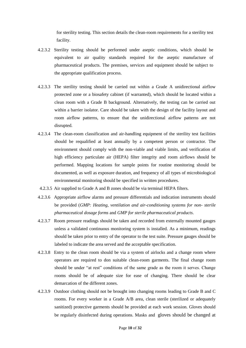for sterility testing. This section details the clean-room requirements for a sterility test facility.

- 4.2.3.2 Sterility testing should be performed under aseptic conditions, which should be equivalent to air quality standards required for the aseptic manufacture of pharmaceutical products. The premises, services and equipment should be subject to the appropriate qualification process.
- 4.2.3.3 The sterility testing should be carried out within a Grade A unidirectional airflow protected zone or a biosafety cabinet (if warranted), which should be located within a clean room with a Grade B background. Alternatively, the testing can be carried out within a barrier isolator. Care should be taken with the design of the facility layout and room airflow patterns, to ensure that the unidirectional airflow patterns are not disrupted.
- 4.2.3.4 The clean-room classification and air-handling equipment of the sterility test facilities should be requalified at least annually by a competent person or contractor. The environment should comply with the non-viable and viable limits, and verification of high efficiency particulate air (HEPA) filter integrity and room airflows should be performed. Mapping locations for sample points for routine monitoring should be documented, as well as exposure duration, and frequency of all types of microbiological environmental monitoring should be specified in written procedures.
- 4.2.3.5 Air supplied to Grade A and B zones should be via terminal HEPA filters.
- 4.2.3.6 Appropriate airflow alarms and pressure differentials and indication instruments should be provided (*GMP: Heating, ventilation and air-conditioning systems for non- sterile pharmaceutical dosage forms* and *GMP for sterile pharmaceutical products*.
- 4.2.3.7 Room pressure readings should be taken and recorded from externally mounted gauges unless a validated continuous monitoring system is installed. As a minimum, readings should be taken prior to entry of the operator to the test suite. Pressure gauges should be labeled to indicate the area served and the acceptable specification.
- 4.2.3.8 Entry to the clean room should be via a system of airlocks and a change room where operators are required to don suitable clean-room garments. The final change room should be under "at rest" conditions of the same grade as the room it serves. Change rooms should be of adequate size for ease of changing. There should be clear demarcation of the different zones.
- 4.2.3.9 Outdoor clothing should not be brought into changing rooms leading to Grade B and C rooms. For every worker in a Grade A/B area, clean sterile (sterilized or adequately sanitized) protective garments should be provided at each work session. Gloves should be regularly disinfected during operations. Masks and gloves should be changed at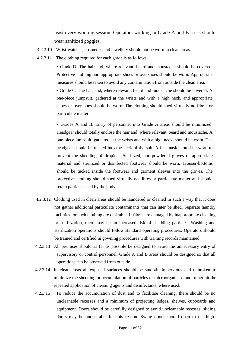least every working session. Operators working in Grade A and B areas should wear sanitized goggles.

- 4.2.3.10 Wrist-watches, cosmetics and jewellery should not be worn in clean areas.
- 4.2.3.11 The clothing required for each grade is as follows:

• Grade D. The hair and, where relevant, beard and moustache should be covered. Protective clothing and appropriate shoes or overshoes should be worn. Appropriate measures should be taken to avoid any contamination from outside the clean area.

• Grade C. The hair and, where relevant, beard and moustache should be covered. A one-piece jumpsuit, gathered at the wrists and with a high neck, and appropriate shoes or overshoes should be worn. The clothing should shed virtually no fibres or particulate matter.

• Grades A and B. Entry of personnel into Grade A areas should be minimized. Headgear should totally enclose the hair and, where relevant, beard and moustache. A one-piece jumpsuit, gathered at the wrists and with a high neck, should be worn. The headgear should be tucked into the neck of the suit. A facemask should be worn to prevent the shedding of droplets. Sterilized, non-powdered gloves of appropriate material and sterilized or disinfected footwear should be worn. Trouser-bottoms should be tucked inside the footwear and garment sleeves into the gloves. The protective clothing should shed virtually no fibres or particulate matter and should retain particles shed by the body.

- 4.2.3.12 Clothing used in clean areas should be laundered or cleaned in such a way that it does not gather additional particulate contaminants that can later be shed. Separate laundry facilities for such clothing are desirable. If fibres are damaged by inappropriate cleaning or sterilization, there may be an increased risk of shedding particles. Washing and sterilization operations should follow standard operating procedures. Operators should be trained and certified in gowning procedures with training records maintained.
- 4.2.3.13 All premises should as far as possible be designed to avoid the unnecessary entry of supervisory or control personnel. Grade A and B areas should be designed so that all operations can be observed from outside.
- 4.2.3.14 In clean areas all exposed surfaces should be smooth, impervious and unbroken to minimize the shedding or accumulation of particles or microorganisms and to permit the repeated application of cleaning agents and disinfectants, where used.
- 4.2.3.15 To reduce the accumulation of dust and to facilitate cleaning, there should be no uncleanable recesses and a minimum of projecting ledges, shelves, cupboards and equipment. Doors should be carefully designed to avoid uncleanable recesses; sliding doors may be undesirable for this reason. Swing doors should open to the high-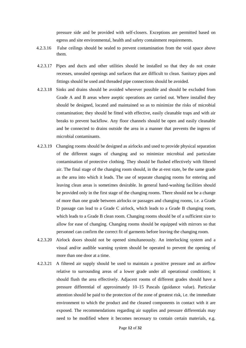pressure side and be provided with self-closers. Exceptions are permitted based on egress and site environmental, health and safety containment requirements.

- 4.2.3.16 False ceilings should be sealed to prevent contamination from the void space above them.
- 4.2.3.17 Pipes and ducts and other utilities should be installed so that they do not create recesses, unsealed openings and surfaces that are difficult to clean. Sanitary pipes and fittings should be used and threaded pipe connections should be avoided.
- 4.2.3.18 Sinks and drains should be avoided wherever possible and should be excluded from Grade A and B areas where aseptic operations are carried out. Where installed they should be designed, located and maintained so as to minimize the risks of microbial contamination; they should be fitted with effective, easily cleanable traps and with air breaks to prevent backflow. Any floor channels should be open and easily cleanable and be connected to drains outside the area in a manner that prevents the ingress of microbial contaminants.
- 4.2.3.19 Changing rooms should be designed as airlocks and used to provide physical separation of the different stages of changing and so minimize microbial and particulate contamination of protective clothing. They should be flushed effectively with filtered air. The final stage of the changing room should, in the at-rest state, be the same grade as the area into which it leads. The use of separate changing rooms for entering and leaving clean areas is sometimes desirable. In general hand-washing facilities should be provided only in the first stage of the changing rooms. There should not be a change of more than one grade between airlocks or passages and changing rooms, i.e. a Grade D passage can lead to a Grade C airlock, which leads to a Grade B changing room, which leads to a Grade B clean room. Changing rooms should be of a sufficient size to allow for ease of changing. Changing rooms should be equipped with mirrors so that personnel can confirm the correct fit of garments before leaving the changing room.
- <span id="page-11-0"></span>4.2.3.20 Airlock doors should not be opened simultaneously. An interlocking system and a visual and/or audible warning system should be operated to prevent the opening of more than one door at a time.
- 4.2.3.21 A filtered air supply should be used to maintain a positive pressure and an airflow relative to surrounding areas of a lower grade under all operational conditions; it should flush the area effectively. Adjacent rooms of different grades should have a pressure differential of approximately 10–15 Pascals (guidance value). Particular attention should be paid to the protection of the zone of greatest risk, i.e. the immediate environment to which the product and the cleaned components in contact with it are exposed. The recommendations regarding air supplies and pressure differentials may need to be modified where it becomes necessary to contain certain materials, e.g.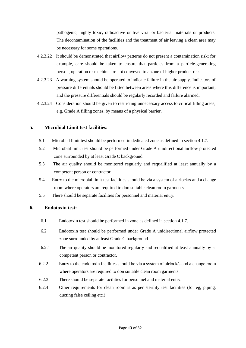pathogenic, highly toxic, radioactive or live viral or bacterial materials or products. The decontamination of the facilities and the treatment of air leaving a clean area may be necessary for some operations.

- 4.2.3.22 It should be demonstrated that airflow patterns do not present a contamination risk; for example, care should be taken to ensure that particles from a particle-generating person, operation or machine are not conveyed to a zone of higher product risk.
- 4.2.3.23 A warning system should be operated to indicate failure in the air supply. Indicators of pressure differentials should be fitted between areas where this difference is important, and the pressure differentials should be regularly recorded and failure alarmed.
- 4.2.3.24 Consideration should be given to restricting unnecessary access to critical filling areas, e.g. Grade A filling zones, by means of a physical barrier.

## **5. Microbial Limit test facilities:**

- 5.1 Microbial limit test should be performed in dedicated zone as defined in section 4.1.7.
- 5.2 Microbial limit test should be performed under Grade A unidirectional airflow protected zone surrounded by at least Grade C background.
- 5.3 The air quality should be monitored regularly and requalified at least annually by a competent person or contractor.
- 5.4 Entry to the microbial limit test facilities should be via a system of airlock/s and a change room where operators are required to don suitable clean room garments.
- 5.5 There should be separate facilities for personnel and material entry.

## **6. Endotoxin test:**

- 6.1 Endotoxin test should be performed in zone as defined in section 4.1.7.
- 6.2 Endotoxin test should be performed under Grade A unidirectional airflow protected zone surrounded by at least Grade C background.
- 6.2.1 The air quality should be monitored regularly and requalified at least annually by a competent person or contractor.
- 6.2.2 Entry to the endotoxin facilities should be via a system of airlock/s and a change room where operators are required to don suitable clean room garments.
- 6.2.3 There should be separate facilities for personnel and material entry.
- 6.2.4 Other requirements for clean room is as per sterility test facilities (for eg, piping, ducting false ceiling etc.)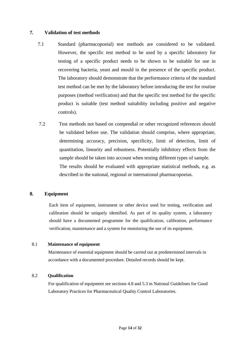## **7. Validation of test methods**

- 7.1 Standard (pharmacopoeial) test methods are considered to be validated. However, the specific test method to be used by a specific laboratory for testing of a specific product needs to be shown to be suitable for use in recovering bacteria, yeast and mould in the presence of the specific product. The laboratory should demonstrate that the performance criteria of the standard test method can be met by the laboratory before introducing the test for routine purposes (method verification) and that the specific test method for the specific product is suitable (test method suitability including positive and negative controls).
- 7.2 Test methods not based on compendial or other recognized references should be validated before use. The validation should comprise, where appropriate, determining accuracy, precision, specificity, limit of detection, limit of quantitation, linearity and robustness. Potentially inhibitory effects from the sample should be taken into account when testing different types of sample. The results should be evaluated with appropriate statistical methods, e.g. as described in the national, regional or international pharmacopoeias.

## <span id="page-13-0"></span>**8. Equipment**

Each item of equipment, instrument or other device used for testing, verification and calibration should be uniquely identified. As part of its quality system, a laboratory should have a documented programme for the qualification, calibration, performance verification, maintenance and a system for monitoring the use of its equipment.

## 8.1 **Maintenance of equipment**

Maintenance of essential equipment should be carried out at predetermined intervals in accordance with a documented procedure. Detailed records should be kept.

## 8.2 **Qualification**

For qualification of equipment see sections 4.8 and 5.3 in National Guidelines for Good Laboratory Practices for Pharmaceutical Quality Control Laboratories*.*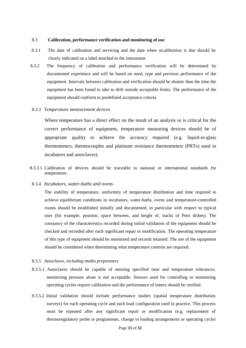#### 8.3 **Calibration, performance verification and monitoring of use**

- 8.3.1 The date of calibration and servicing and the date when recalibration is due should be clearly indicated on a label attached to the instrument.
- 8.3.2 The frequency of calibration and performance verification will be determined by documented experience and will be based on need, type and previous performance of the equipment. Intervals between calibration and verification should be shorter than the time the equipment has been found to take to drift outside acceptable limits. The performance of the equipment should conform to predefined acceptance criteria.

#### 8.3.3 *Temperature measurement devices*

Where temperature has a direct effect on the result of an analysis or is critical for the correct performance of equipment, temperature measuring devices should be of appropriate quality to achieve the accuracy required (e.g. liquid-in-glass thermometers, thermocouples and platinum resistance thermometers (PRTs) used in incubators and autoclaves).

8.3.3.1 Calibration of devices should be traceable to national or international standards for temperature.

#### 8.3.4 *Incubators, water-baths and ovens*

The stability of temperature, uniformity of temperature distribution and time required to achieve equilibrium conditions in incubators, water-baths, ovens and temperature-controlled rooms should be established initially and documented, in particular with respect to typical uses (for example, position, space between, and height of, stacks of Petri dishes). The constancy of the characteristics recorded during initial validation of the equipment should be checked and recorded after each significant repair or modification. The operating temperature of this type of equipment should be monitored and records retained. The use of the equipment should be considered when determining what temperature controls are required.

#### 8.3.5 *Autoclaves, including media preparators*

- 8.3.5.1 Autoclaves should be capable of meeting specified time and temperature tolerances; monitoring pressure alone is not acceptable. Sensors used for controlling or monitoring operating cycles require calibration and the performance of timers should be verified.
- 8.3.5.2 Initial validation should include performance studies (spatial temperature distribution surveys) for each operating cycle and each load configuration used in practice. This process must be repeated after any significant repair or modification (e.g. replacement of thermoregulatory probe or programmer, change to loading arrangements or operating cycle)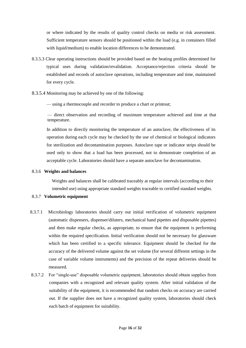or where indicated by the results of quality control checks on media or risk assessment. Sufficient temperature sensors should be positioned within the load (e.g. in containers filled with liquid/medium) to enable location differences to be demonstrated.

- 8.3.5.3 Clear operating instructions should be provided based on the heating profiles determined for typical uses during validation/revalidation. Acceptance/rejection criteria should be established and records of autoclave operations, including temperature and time, maintained for every cycle.
- 8.3.5.4 Monitoring may be achieved by one of the following:

— using a thermocouple and recorder to produce a chart or printout;

— direct observation and recording of maximum temperature achieved and time at that temperature.

In addition to directly monitoring the temperature of an autoclave, the effectiveness of its operation during each cycle may be checked by the use of chemical or biological indicators for sterilization and decontamination purposes. Autoclave tape or indicator strips should be used only to show that a load has been processed, not to demonstrate completion of an acceptable cycle. Laboratories should have a separate autoclave for decontamination.

#### 8.3.6 **Weights and balances**

Weights and balances shall be calibrated traceably at regular intervals (according to their intended use) using appropriate standard weights traceable to certified standard weights.

### 8.3.7 **Volumetric equipment**

- 8.3.7.1 Microbiology laboratories should carry out initial verification of volumetric equipment (automatic dispensers, dispenser/diluters, mechanical hand pipettes and disposable pipettes) and then make regular checks, as appropriate, to ensure that the equipment is performing within the required specification. Initial verification should not be necessary for glassware which has been certified to a specific tolerance. Equipment should be checked for the accuracy of the delivered volume against the set volume (for several different settings in the case of variable volume instruments) and the precision of the repeat deliveries should be measured.
- 8.3.7.2 For "single-use" disposable volumetric equipment, laboratories should obtain supplies from companies with a recognized and relevant quality system. After initial validation of the suitability of the equipment, it is recommended that random checks on accuracy are carried out. If the supplier does not have a recognized quality system, laboratories should check each batch of equipment for suitability.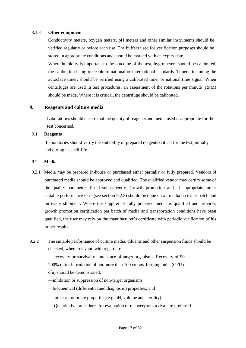#### 8.3.8 **Other equipment**

Conductivity meters, oxygen meters, pH meters and other similar instruments should be verified regularly or before each use. The buffers used for verification purposes should be stored in appropriate conditions and should be marked with an expiry date.

<span id="page-16-0"></span>Where humidity is important to the outcome of the test, hygrometers should be calibrated, the calibration being traceable to national or international standards. Timers, including the autoclave timer, should be verified using a calibrated timer or national time signal. When centrifuges are used in test procedures, an assessment of the rotations per minute (RPM) should be made. Where it is critical, the centrifuge should be calibrated.

## **9. Reagents and culture media**

Laboratories should ensure that the quality of reagents and media used is appropriate for the test concerned.

## 9.1 **Reagents**

Laboratories should verify the suitability of prepared reagents critical for the test, initially and during its shelf-life.

## 9.2 **Media**

- 9.2.1 Media may be prepared in-house or purchased either partially or fully prepared. Vendors of purchased media should be approved and qualified. The qualified vendor may certify some of the quality parameters listed subsequently. Growth promotion and, if appropriate, other suitable performance tests (see section 9.2.3) should be done on all media on every batch and on every shipment. Where the supplier of fully prepared media is qualified and provides growth promotion certification per batch of media and transportation conditions have been qualified, the user may rely on the manufacturer's certificate with periodic verification of his or her results.
- 9.2.2 The suitable performance of culture media, diluents and other suspension fluids should be checked, where relevant, with regard to:

— recovery or survival maintenance of target organisms. Recovery of 50– 200% (after inoculation of not more than 100 colony-forming units (CFU or cfu) should be demonstrated;

—inhibition or suppression of non-target organisms;

—biochemical (differential and diagnostic) properties; and

— other appropriate properties (e.g. pH, volume and sterility).

Quantitative procedures for evaluation of recovery or survival are preferred.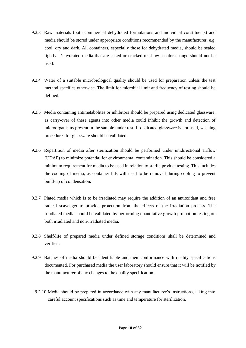- 9.2.3 Raw materials (both commercial dehydrated formulations and individual constituents) and media should be stored under appropriate conditions recommended by the manufacturer, e.g. cool, dry and dark. All containers, especially those for dehydrated media, should be sealed tightly. Dehydrated media that are caked or cracked or show a color change should not be used.
- 9.2.4 Water of a suitable microbiological quality should be used for preparation unless the test method specifies otherwise. The limit for microbial limit and frequency of testing should be defined.
- 9.2.5 Media containing antimetabolites or inhibitors should be prepared using dedicated glassware, as carry-over of these agents into other media could inhibit the growth and detection of microorganisms present in the sample under test. If dedicated glassware is not used, washing procedures for glassware should be validated.
- 9.2.6 Repartition of media after sterilization should be performed under unidirectional airflow (UDAF) to minimize potential for environmental contamination. This should be considered a minimum requirement for media to be used in relation to sterile product testing. This includes the cooling of media, as container lids will need to be removed during cooling to prevent build-up of condensation.
- 9.2.7 Plated media which is to be irradiated may require the addition of an antioxidant and free radical scavenger to provide protection from the effects of the irradiation process. The irradiated media should be validated by performing quantitative growth promotion testing on both irradiated and non-irradiated media.
- 9.2.8 Shelf-life of prepared media under defined storage conditions shall be determined and verified.
- <span id="page-17-0"></span>9.2.9 Batches of media should be identifiable and their conformance with quality specifications documented. For purchased media the user laboratory should ensure that it will be notified by the manufacturer of any changes to the quality specification.
	- 9.2.10 Media should be prepared in accordance with any manufacturer's instructions, taking into careful account specifications such as time and temperature for sterilization.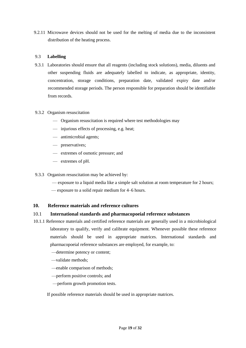9.2.11 Microwave devices should not be used for the melting of media due to the inconsistent distribution of the heating process.

## 9.3 **Labelling**

9.3.1 Laboratories should ensure that all reagents (including stock solutions), media, diluents and other suspending fluids are adequately labelled to indicate, as appropriate, identity, concentration, storage conditions, preparation date, validated expiry date and/or recommended storage periods. The person responsible for preparation should be identifiable from records.

#### 9.3.2 Organism resuscitation

- Organism resuscitation is required where test methodologies may
- injurious effects of processing, e.g. heat;
- antimicrobial agents;
- preservatives;
- extremes of osmotic pressure; and
- extremes of pH.

9.3.3 Organism resuscitation may be achieved by:

- exposure to a liquid media like a simple salt solution at room temperature for 2 hours;
- exposure to a solid repair medium for 4–6 hours.

## **10. Reference materials and reference cultures**

## 10.1 **International standards and pharmacopoeial reference substances**

- 10.1.1 Reference materials and certified reference materials are generally used in a microbiological laboratory to qualify, verify and calibrate equipment. Whenever possible these reference materials should be used in appropriate matrices. International standards and pharmacopoeial reference substances are employed, for example, to:
	- —determine potency or content;
	- —validate methods;
	- —enable comparison of methods;
	- —perform positive controls; and
	- —perform growth promotion tests.

If possible reference materials should be used in appropriate matrices.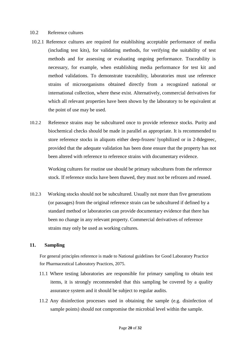### 10.2 Reference cultures

- 10.2.1 Reference cultures are required for establishing acceptable performance of media (including test kits), for validating methods, for verifying the suitability of test methods and for assessing or evaluating ongoing performance. Traceability is necessary, for example, when establishing media performance for test kit and method validations. To demonstrate traceability, laboratories must use reference strains of microorganisms obtained directly from a recognized national or international collection, where these exist. Alternatively, commercial derivatives for which all relevant properties have been shown by the laboratory to be equivalent at the point of use may be used.
- 10.2.2 Reference strains may be subcultured once to provide reference stocks. Purity and biochemical checks should be made in parallel as appropriate. It is recommended to store reference stocks in aliquots either deep-frozen/ lyophilized or in 2-8degreec, provided that the adequate validation has been done ensure that the property has not been altered with reference to reference strains with documentary evidence.

<span id="page-19-0"></span>Working cultures for routine use should be primary subcultures from the reference stock. If reference stocks have been thawed, they must not be refrozen and reused.

10.2.3 Working stocks should not be subcultured. Usually not more than five generations (or passages) from the original reference strain can be subcultured if defined by a standard method or laboratories can provide documentary evidence that there has been no change in any relevant property. Commercial derivatives of reference strains may only be used as working cultures.

## **11. Sampling**

For general principles reference is made to National guidelines for Good Laboratory Practice for Pharmaceutical Laboratory Practices, 2075.

- 11.1 Where testing laboratories are responsible for primary sampling to obtain test items, it is strongly recommended that this sampling be covered by a quality assurance system and it should be subject to regular audits.
- 11.2 Any disinfection processes used in obtaining the sample (e.g. disinfection of sample points) should not compromise the microbial level within the sample.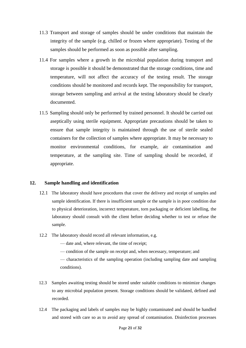- 11.3 Transport and storage of samples should be under conditions that maintain the integrity of the sample (e.g. chilled or frozen where appropriate). Testing of the samples should be performed as soon as possible after sampling.
- 11.4 For samples where a growth in the microbial population during transport and storage is possible it should be demonstrated that the storage conditions, time and temperature, will not affect the accuracy of the testing result. The storage conditions should be monitored and records kept. The responsibility for transport, storage between sampling and arrival at the testing laboratory should be clearly documented.
- 11.5 Sampling should only be performed by trained personnel. It should be carried out aseptically using sterile equipment. Appropriate precautions should be taken to ensure that sample integrity is maintained through the use of sterile sealed containers for the collection of samples where appropriate. It may be necessary to monitor environmental conditions, for example, air contamination and temperature, at the sampling site. Time of sampling should be recorded, if appropriate.

## <span id="page-20-0"></span>**12. Sample handling and identification**

- 12.1 The laboratory should have procedures that cover the delivery and receipt of samples and sample identification. If there is insufficient sample or the sample is in poor condition due to physical deterioration, incorrect temperature, torn packaging or deficient labelling, the laboratory should consult with the client before deciding whether to test or refuse the sample.
- 12.2 The laboratory should record all relevant information, e.g.

— date and, where relevant, the time of receipt;

— condition of the sample on receipt and, when necessary, temperature; and

— characteristics of the sampling operation (including sampling date and sampling conditions).

- 12.3 Samples awaiting testing should be stored under suitable conditions to minimize changes to any microbial population present. Storage conditions should be validated, defined and recorded.
- 12.4 The packaging and labels of samples may be highly contaminated and should be handled and stored with care so as to avoid any spread of contamination. Disinfection processes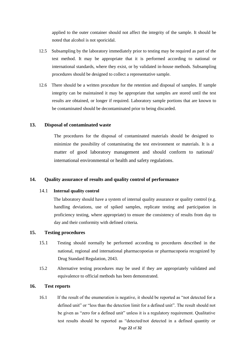applied to the outer container should not affect the integrity of the sample. It should be noted that alcohol is not sporicidal.

- 12.5 Subsampling by the laboratory immediately prior to testing may be required as part of the test method. It may be appropriate that it is performed according to national or international standards, where they exist, or by validated in-house methods. Subsampling procedures should be designed to collect a representative sample.
- 12.6 There should be a written procedure for the retention and disposal of samples. If sample integrity can be maintained it may be appropriate that samples are stored until the test results are obtained, or longer if required. Laboratory sample portions that are known to be contaminated should be decontaminated prior to being discarded.

## **13. Disposal of contaminated waste**

<span id="page-21-0"></span>The procedures for the disposal of contaminated materials should be designed to minimize the possibility of contaminating the test environment or materials. It is a matter of good laboratory management and should conform to national/ international environmental or health and safety regulations.

#### **14. Quality assurance of results and quality control of performance**

#### 14.1 **Internal quality control**

 The laboratory should have a system of internal quality assurance or quality control (e.g. handling deviations, use of spiked samples, replicate testing and participation in proficiency testing, where appropriate) to ensure the consistency of results from day to day and their conformity with defined criteria.

### **15. Testing procedures**

- 15.1 Testing should normally be performed according to procedures described in the national, regional and international pharmacopoeias or pharmacopoeia recognized by Drug Standard Regulation, 2043.
- 15.2 Alternative testing procedures may be used if they are appropriately validated and equivalence to official methods has been demonstrated.

#### **16. Test reports**

16.1 If the result of the enumeration is negative, it should be reported as "not detected for a defined unit" or "less than the detection limit for a defined unit". The result should not be given as "zero for a defined unit" unless it is a regulatory requirement. Qualitative test results should be reported as "detected/not detected in a defined quantity or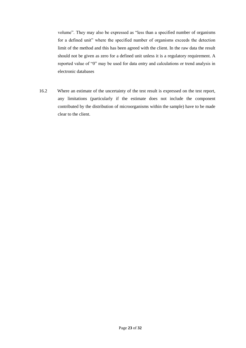volume". They may also be expressed as "less than a specified number of organisms for a defined unit" where the specified number of organisms exceeds the detection limit of the method and this has been agreed with the client. In the raw data the result should not be given as zero for a defined unit unless it is a regulatory requirement. A reported value of "0" may be used for data entry and calculations or trend analysis in electronic databases

<span id="page-22-0"></span>16.2 Where an estimate of the uncertainty of the test result is expressed on the test report, any limitations (particularly if the estimate does not include the component contributed by the distribution of microorganisms within the sample) have to be made clear to the client.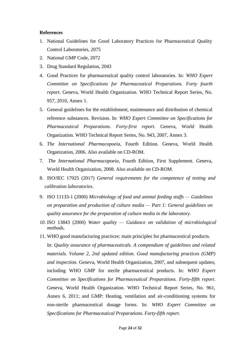### **References**

- 1. National Guidelines for Good Laboratory Practices for Pharmaceutical Quality Control Laboratories, 2075
- 2. National GMP Code, 2072
- 3. Drug Standard Regulation, 2043
- 4. Good Practices for pharmaceutical quality control laboratories. In: *WHO Expert Committee on Specifications for Pharmaceutical Preparations. Forty fourth report*. Geneva, World Health Organization. WHO Technical Report Series, No. 957, 2010, Annex 1.
- 5. General guidelines for the establishment, maintenance and distribution of chemical reference substances. Revision. In: *WHO Expert Committee on Specifications for Pharmaceutical Preparations. Forty-first report*. Geneva, World Health Organization. WHO Technical Report Series, No. 943, 2007, Annex 3.
- 6. *The International Pharmacopoeia*, Fourth Edition. Geneva, World Health Organization, 2006. Also available on CD-ROM.
- 7. *The International Pharmacopoeia*, Fourth Edition, First Supplement. Geneva, World Health Organization, 2008. Also available on CD-ROM.
- 8. ISO/IEC 17025 (2017) *General requirements for the competence of testing and calibration laboratories*.
- 9. ISO 11133-1 (2000) *Microbiology of food and animal feeding stuffs — Guidelines on preparation and production of culture media — Part 1: General guidelines on quality assurance for the preparation of culture media in the laboratory*.
- *10.* ISO 13843 (2000) *Water quality — Guidance on validation of microbiological methods.*
- 11. WHO good manufacturing practices: main principles for pharmaceutical products. In: *Quality assurance of pharmaceuticals. A compendium of guidelines and related materials. Volume 2, 2nd updated edition. Good manufacturing practices (GMP) and inspection.* Geneva, World Health Organization, 2007, and subsequent updates, including WHO GMP for sterile pharmaceutical products. In: *WHO Expert Committee on Specifications for Pharmaceutical Preparations. Forty-fifth report*. Geneva, World Health Organization. WHO Technical Report Series, No. 961, Annex 6, 2011; and GMP: Heating, ventilation and air-conditioning systems for non-sterile pharmaceutical dosage forms. In: *WHO Expert Committee on Specifications for Pharmaceutical Preparations. Forty-fifth report*.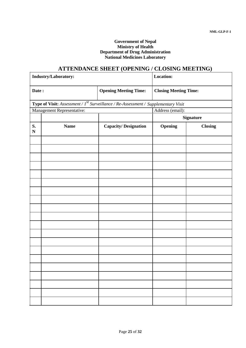### **Government of Nepal Ministry of Health Department of Drug Administration National Medicines Laboratory**

## **ATTENDANCE SHEET (OPENING / CLOSING MEETING)**

|                                                                                                | Industry/Laboratory:       | <b>Location:</b>             |                              |                  |  |  |
|------------------------------------------------------------------------------------------------|----------------------------|------------------------------|------------------------------|------------------|--|--|
| Date:                                                                                          |                            | <b>Opening Meeting Time:</b> | <b>Closing Meeting Time:</b> |                  |  |  |
| <b>Type of Visit:</b> Assessment / $I^{st}$ Surveillance / Re-Assessment / Supplementary Visit |                            |                              |                              |                  |  |  |
|                                                                                                | Management Representative: |                              | Address (email):             |                  |  |  |
|                                                                                                |                            |                              |                              | <b>Signature</b> |  |  |
| S.<br>${\bf N}$                                                                                | <b>Name</b>                | <b>Capacity/Designation</b>  | Opening                      | <b>Closing</b>   |  |  |
|                                                                                                |                            |                              |                              |                  |  |  |
|                                                                                                |                            |                              |                              |                  |  |  |
|                                                                                                |                            |                              |                              |                  |  |  |
|                                                                                                |                            |                              |                              |                  |  |  |
|                                                                                                |                            |                              |                              |                  |  |  |
|                                                                                                |                            |                              |                              |                  |  |  |
|                                                                                                |                            |                              |                              |                  |  |  |
|                                                                                                |                            |                              |                              |                  |  |  |
|                                                                                                |                            |                              |                              |                  |  |  |
|                                                                                                |                            |                              |                              |                  |  |  |
|                                                                                                |                            |                              |                              |                  |  |  |
|                                                                                                |                            |                              |                              |                  |  |  |
|                                                                                                |                            |                              |                              |                  |  |  |
|                                                                                                |                            |                              |                              |                  |  |  |
|                                                                                                |                            |                              |                              |                  |  |  |
|                                                                                                |                            |                              |                              |                  |  |  |
|                                                                                                |                            |                              |                              |                  |  |  |
|                                                                                                |                            |                              |                              |                  |  |  |
|                                                                                                |                            |                              |                              |                  |  |  |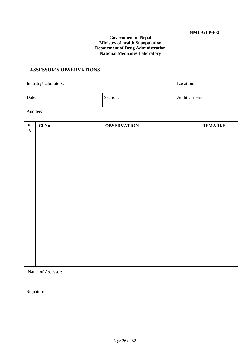## **Government of Nepal Ministry of health & population Department of Drug Administration National Medicines Laboratory**

## **ASSESSOR'S OBSERVATIONS**

| Industry/Laboratory: |                   |  |                    | Location: |                 |  |  |  |
|----------------------|-------------------|--|--------------------|-----------|-----------------|--|--|--|
| Date:                |                   |  | Section:           |           | Audit Criteria: |  |  |  |
| Auditee:             |                   |  |                    |           |                 |  |  |  |
| S.<br>${\bf N}$      | Cl No             |  | <b>OBSERVATION</b> |           | <b>REMARKS</b>  |  |  |  |
|                      |                   |  |                    |           |                 |  |  |  |
|                      |                   |  |                    |           |                 |  |  |  |
|                      |                   |  |                    |           |                 |  |  |  |
|                      |                   |  |                    |           |                 |  |  |  |
|                      |                   |  |                    |           |                 |  |  |  |
|                      |                   |  |                    |           |                 |  |  |  |
|                      |                   |  |                    |           |                 |  |  |  |
|                      |                   |  |                    |           |                 |  |  |  |
|                      |                   |  |                    |           |                 |  |  |  |
|                      |                   |  |                    |           |                 |  |  |  |
|                      | Name of Assessor: |  |                    |           |                 |  |  |  |
|                      | Signature         |  |                    |           |                 |  |  |  |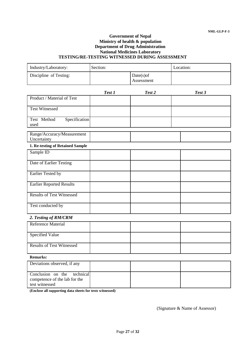#### **Government of Nepal Ministry of health & population Department of Drug Administration National Medicines Laboratory TESTING/RE-TESTING WITNESSED DURING ASSESSMENT**

| Industry/Laboratory:                                            | Section: |                            | Location: |
|-----------------------------------------------------------------|----------|----------------------------|-----------|
| Discipline of Testing:                                          |          | $Date(s)$ of<br>Assessment |           |
|                                                                 | Test 1   | Test 2                     | Test 3    |
| Product / Material of Test                                      |          |                            |           |
| <b>Test Witnessed</b>                                           |          |                            |           |
| Specification<br>Test Method<br>used                            |          |                            |           |
| Range/Accuracy/Measurement<br>Uncertainty                       |          |                            |           |
| 1. Re-testing of Retained Sample                                |          |                            |           |
| Sample ID                                                       |          |                            |           |
| Date of Earlier Testing                                         |          |                            |           |
| Earlier Tested by                                               |          |                            |           |
| <b>Earlier Reported Results</b>                                 |          |                            |           |
| <b>Results of Test Witnessed</b>                                |          |                            |           |
| Test conducted by                                               |          |                            |           |
| 2. Testing of RM/CRM                                            |          |                            |           |
| Reference Material                                              |          |                            |           |
| <b>Specified Value</b>                                          |          |                            |           |
| <b>Results of Test Witnessed</b>                                |          |                            |           |
| Remarks:                                                        |          |                            |           |
| Deviations observed, if any                                     |          |                            |           |
| Conclusion on the<br>technical<br>competence of the lab for the |          |                            |           |

**(Enclose all supporting data sheets for tests witnessed)**

test witnessed

(Signature & Name of Assessor)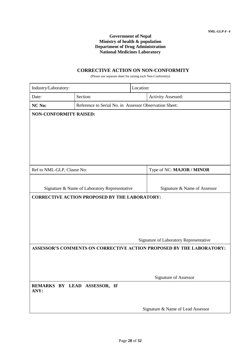#### **Government of Nepal Ministry of health & population Department of Drug Administration National Medicines Laboratory**

## **CORRECTIVE ACTION ON NON-CONFORMITY**

(Please use separate sheet for raising each Non-Conformity)

| Industry/Laboratory:                                                                                                                  |                                                        | Location:                              |  |  |  |
|---------------------------------------------------------------------------------------------------------------------------------------|--------------------------------------------------------|----------------------------------------|--|--|--|
| Section:<br>Date:                                                                                                                     |                                                        | <b>Activity Assessed:</b>              |  |  |  |
| NC No:                                                                                                                                | Reference to Serial No. in Assessor Observation Sheet: |                                        |  |  |  |
| <b>NON-CONFORMITY RAISED:</b>                                                                                                         |                                                        |                                        |  |  |  |
| Ref to NML-GLP, Clause No:                                                                                                            |                                                        | Type of NC: MAJOR / MINOR              |  |  |  |
| Signature & Name of Laboratory Representative<br>Signature & Name of Assessor<br><b>CORRECTIVE ACTION PROPOSED BY THE LABORATORY:</b> |                                                        |                                        |  |  |  |
|                                                                                                                                       |                                                        | Signature of Laboratory Representative |  |  |  |
| ASSESSOR'S COMMENTS ON CORRECTIVE ACTION PROPOSED BY THE LABORATORY:<br>Signature of Assessor                                         |                                                        |                                        |  |  |  |
| ANY:                                                                                                                                  | REMARKS BY LEAD ASSESSOR, IF                           | Signature & Name of Lead Assessor      |  |  |  |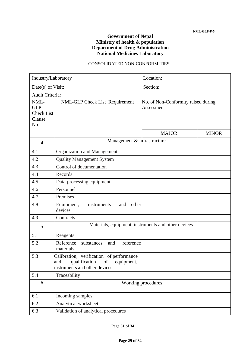## **Government of Nepal Ministry of health & population Department of Drug Administration National Medicines Laboratory**

## CONSOLIDATED NON-CONFORMITIES

| Industry/Laboratory                                      |                                                                                                                       | Location:                                           |              |  |
|----------------------------------------------------------|-----------------------------------------------------------------------------------------------------------------------|-----------------------------------------------------|--------------|--|
| Date(s) of Visit:                                        |                                                                                                                       | Section:                                            |              |  |
| Audit Criteria:                                          |                                                                                                                       |                                                     |              |  |
| NML-<br><b>GLP</b><br><b>Check List</b><br>Clause<br>No. | NML-GLP Check List Requirement                                                                                        | No. of Non-Conformity raised during<br>Assessment   |              |  |
|                                                          |                                                                                                                       | <b>MAJOR</b>                                        | <b>MINOR</b> |  |
| $\overline{4}$                                           | Management & Infrastructure                                                                                           |                                                     |              |  |
| 4.1                                                      | Organization and Management                                                                                           |                                                     |              |  |
| 4.2                                                      | <b>Quality Management System</b>                                                                                      |                                                     |              |  |
| 4.3                                                      | Control of documentation                                                                                              |                                                     |              |  |
| 4.4                                                      | Records                                                                                                               |                                                     |              |  |
| 4.5                                                      | Data-processing equipment                                                                                             |                                                     |              |  |
| 4.6                                                      | Personnel                                                                                                             |                                                     |              |  |
| 4.7                                                      | Premises                                                                                                              |                                                     |              |  |
| 4.8                                                      | Equipment,<br>other<br>instruments<br>and<br>devices                                                                  |                                                     |              |  |
| 4.9                                                      | Contracts                                                                                                             |                                                     |              |  |
| 5                                                        |                                                                                                                       | Materials, equipment, instruments and other devices |              |  |
| 5.1                                                      | Reagents                                                                                                              |                                                     |              |  |
| 5.2                                                      | Reference<br>reference<br>substances<br>and<br>materials                                                              |                                                     |              |  |
| 5.3                                                      | Calibration, verification of performance<br>qualification<br>and<br>equipment,<br>of<br>instruments and other devices |                                                     |              |  |
| 5.4                                                      | Traceability                                                                                                          |                                                     |              |  |
| 6                                                        |                                                                                                                       | Working procedures                                  |              |  |
| 6.1                                                      | Incoming samples                                                                                                      |                                                     |              |  |
| 6.2                                                      | Analytical worksheet                                                                                                  |                                                     |              |  |
| 6.3                                                      | Validation of analytical procedures                                                                                   |                                                     |              |  |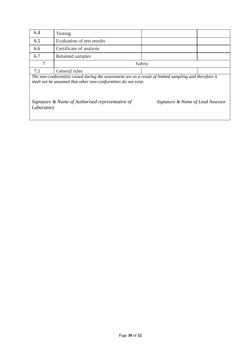| 6.4 | Testing                    |        |  |  |  |
|-----|----------------------------|--------|--|--|--|
| 6.5 | Evaluation of test results |        |  |  |  |
| 6.6 | Certificate of analysis    |        |  |  |  |
| 6.7 | Retained samples           |        |  |  |  |
|     |                            | Safety |  |  |  |
|     | General rules              |        |  |  |  |

*The non-conformities raised during the assessment are as a result of limited sampling and therefore it shall not be assumed that other non-conformities do not exist.*

*Signature & Name of Authorised representative of Signature & Name of Lead Assessor Laboratory*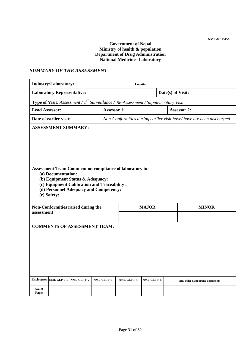### **Government of Nepal Ministry of health & population Department of Drug Administration National Medicines Laboratory**

## *SUMMARY OF THE ASSESSMENT*

| <b>Industry/Laboratory:</b>         |                                                                                                                                                                                                                           |                                    |                    | Location:   |                   |                              |  |                                                                      |
|-------------------------------------|---------------------------------------------------------------------------------------------------------------------------------------------------------------------------------------------------------------------------|------------------------------------|--------------------|-------------|-------------------|------------------------------|--|----------------------------------------------------------------------|
| <b>Laboratory Representative:</b>   |                                                                                                                                                                                                                           |                                    |                    |             | Date(s) of Visit: |                              |  |                                                                      |
|                                     | <b>Type of Visit:</b> Assessment / $I^{st}$ Surveillance / Re-Assessment / Supplementary Visit                                                                                                                            |                                    |                    |             |                   |                              |  |                                                                      |
| <b>Lead Assessor:</b>               |                                                                                                                                                                                                                           |                                    | <b>Assessor 1:</b> |             |                   |                              |  | <b>Assessor 2:</b>                                                   |
|                                     | Date of earlier visit:                                                                                                                                                                                                    |                                    |                    |             |                   |                              |  | Non-Conformities during earlier visit have/have not been discharged. |
|                                     | <b>ASSESSMENT SUMMARY:</b>                                                                                                                                                                                                |                                    |                    |             |                   |                              |  |                                                                      |
|                                     | Assessment Team Comment on compliance of laboratory to:<br>(a) Documentation:<br>(b) Equipment Status & Adequacy:<br>(c) Equipment Calibration and Traceability:<br>(d) Personnel Adequacy and Competency:<br>(e) Safety: |                                    |                    |             |                   |                              |  |                                                                      |
| assessment                          |                                                                                                                                                                                                                           | Non-Conformities raised during the |                    |             |                   | <b>MAJOR</b><br><b>MINOR</b> |  |                                                                      |
|                                     |                                                                                                                                                                                                                           |                                    |                    |             |                   |                              |  |                                                                      |
| <b>COMMENTS OF ASSESSMENT TEAM:</b> |                                                                                                                                                                                                                           |                                    |                    |             |                   |                              |  |                                                                      |
| <b>Enclosures</b>                   | NML-GLP-F-1                                                                                                                                                                                                               | NML-GLP-F-2                        | NML-GLP-F-3        | NML-GLP-F-4 |                   | NML-GLP-F-5                  |  | Any other Supporting documents                                       |
| No. of<br>Pages                     |                                                                                                                                                                                                                           |                                    |                    |             |                   |                              |  |                                                                      |